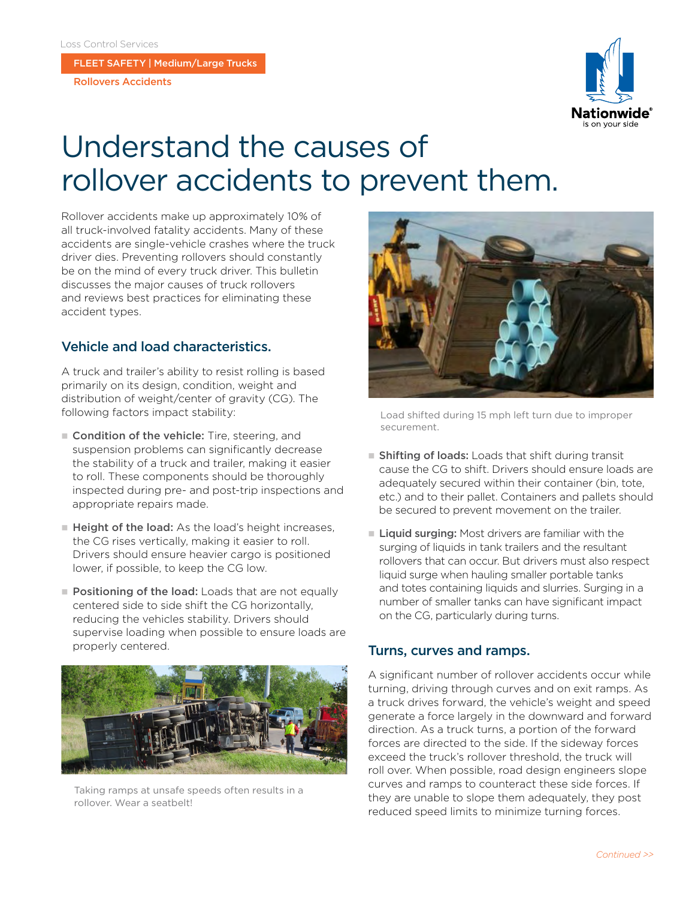FLEET SAFETY | Medium/Large Trucks

Rollovers Accidents



# Understand the causes of rollover accidents to prevent them.

Rollover accidents make up approximately 10% of all truck-involved fatality accidents. Many of these accidents are single-vehicle crashes where the truck driver dies. Preventing rollovers should constantly be on the mind of every truck driver. This bulletin discusses the major causes of truck rollovers and reviews best practices for eliminating these accident types.

## Vehicle and load characteristics.

A truck and trailer's ability to resist rolling is based primarily on its design, condition, weight and distribution of weight/center of gravity (CG). The following factors impact stability:

- Condition of the vehicle: Tire, steering, and suspension problems can significantly decrease the stability of a truck and trailer, making it easier to roll. These components should be thoroughly inspected during pre- and post-trip inspections and appropriate repairs made.
- $\blacksquare$  Height of the load: As the load's height increases, the CG rises vertically, making it easier to roll. Drivers should ensure heavier cargo is positioned lower, if possible, to keep the CG low.
- Positioning of the load: Loads that are not equally centered side to side shift the CG horizontally, reducing the vehicles stability. Drivers should supervise loading when possible to ensure loads are properly centered.



Taking ramps at unsafe speeds often results in a rollover. Wear a seatbelt!



Load shifted during 15 mph left turn due to improper securement.

- **n** Shifting of loads: Loads that shift during transit cause the CG to shift. Drivers should ensure loads are adequately secured within their container (bin, tote, etc.) and to their pallet. Containers and pallets should be secured to prevent movement on the trailer.
- $\blacksquare$  Liquid surging: Most drivers are familiar with the surging of liquids in tank trailers and the resultant rollovers that can occur. But drivers must also respect liquid surge when hauling smaller portable tanks and totes containing liquids and slurries. Surging in a number of smaller tanks can have significant impact on the CG, particularly during turns.

#### Turns, curves and ramps.

A significant number of rollover accidents occur while turning, driving through curves and on exit ramps. As a truck drives forward, the vehicle's weight and speed generate a force largely in the downward and forward direction. As a truck turns, a portion of the forward forces are directed to the side. If the sideway forces exceed the truck's rollover threshold, the truck will roll over. When possible, road design engineers slope curves and ramps to counteract these side forces. If they are unable to slope them adequately, they post reduced speed limits to minimize turning forces.